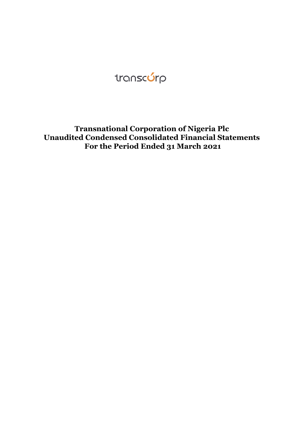

**Transnational Corporation of Nigeria Plc Unaudited Condensed Consolidated Financial Statements For the Period Ended 31 March 2021**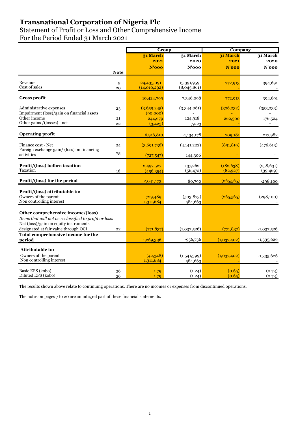# Statement of Profit or Loss and Other Comprehensive Income For the Period Ended 31 March 2021

|                                                            |             | Group                      |                           | Company                 |                         |  |
|------------------------------------------------------------|-------------|----------------------------|---------------------------|-------------------------|-------------------------|--|
|                                                            |             | 31 March                   | 31 March                  | 31 March                | 31 March                |  |
|                                                            |             | 2021                       | 2020                      | 2021                    | 2020                    |  |
|                                                            |             | $N'$ 000                   | $N'$ 000                  | <b>N'000</b>            | $N'$ 000                |  |
|                                                            | <b>Note</b> |                            |                           |                         |                         |  |
| Revenue                                                    |             |                            |                           |                         |                         |  |
| Cost of sales                                              | 19<br>20    | 24,435,091<br>(14,010,292) | 15,391,959<br>(8,045,861) | 772,913                 | 394,691                 |  |
|                                                            |             |                            |                           |                         |                         |  |
| <b>Gross profit</b>                                        |             | 10,424,799                 | 7,346,098                 | 772,913                 | 394,691                 |  |
|                                                            |             |                            |                           |                         |                         |  |
| Administrative expenses                                    | 23          | (3,659,245)                | (3,344,061)               | (326, 232)              | (353, 233)              |  |
| Impairment (loss)/gain on financial assets<br>Other income |             | (90,000)                   |                           |                         |                         |  |
| Other gains /(losses) - net                                | 21<br>22    | 244,679<br>(3, 423)        | 124,918<br>7,223          | 262,500                 | 176,524                 |  |
|                                                            |             |                            |                           |                         |                         |  |
| <b>Operating profit</b>                                    |             | 6,916,810                  | 4,134,178                 | 709,181                 | 217,982                 |  |
|                                                            |             |                            |                           |                         |                         |  |
| Finance cost - Net                                         | 24          | (3,691,736)                | (4,141,222)               | (891, 819)              | (476, 613)              |  |
| Foreign exchange gain/ (loss) on financing                 | 25          |                            |                           |                         |                         |  |
| activities                                                 |             | (727, 547)                 | 144,306                   |                         |                         |  |
| Profit/(loss) before taxation                              |             |                            |                           |                         |                         |  |
| Taxation                                                   | 16          | 2,497,527<br>(456, 354)    | 137,262<br>(56, 472)      | (182, 638)<br>(82, 927) | (258, 631)<br>(39, 469) |  |
|                                                            |             |                            |                           |                         |                         |  |
| Profit/(loss) for the period                               |             | 2,041,173                  | 80,790                    | (265, 565)              | $-298,100$              |  |
|                                                            |             |                            |                           |                         |                         |  |
| Profit/(loss) attributable to:                             |             |                            |                           |                         |                         |  |
| Owners of the parent<br>Non controlling interest           |             | 729,489                    | (503, 873)                | (265, 565)              | (298,100)               |  |
|                                                            |             | 1,311,684                  | 584,663                   |                         |                         |  |
| Other comprehensive income/(loss)                          |             |                            |                           |                         |                         |  |
| Items that will not be reclassified to profit or loss:     |             |                            |                           |                         |                         |  |
| Net (loss)/gain on equity instruments                      |             |                            |                           |                         |                         |  |
| designated at fair value through OCI                       | 22          | (771, 837)                 | (1,037,526)               | (771, 837)              | $-1,037,526$            |  |
| Total comprehensive income for the                         |             |                            |                           |                         |                         |  |
| period                                                     |             | 1,269,336                  | $-956,736$                | (1,037,402)             | $-1,335,626$            |  |
|                                                            |             |                            |                           |                         |                         |  |
| <b>Attributable to:</b>                                    |             |                            |                           |                         |                         |  |
| Owners of the parent                                       |             | (42,348)                   | (1,541,399)               | (1,037,402)             | $-1,335,626$            |  |
| Non controlling interest                                   |             | 1,311,684                  | 584,663                   |                         |                         |  |
| Basic EPS (kobo)                                           | 26          | 1.79                       | (1.24)                    | (0.65)                  | (0.73)                  |  |
| Diluted EPS (kobo)                                         | 26          | 1.79                       | (1.24)                    | (0.65)                  | (0.73)                  |  |

The results shown above relate to continuing operations. There are no incomes or expenses from discontinued operations.

The notes on pages 7 to 20 are an integral part of these financial statements.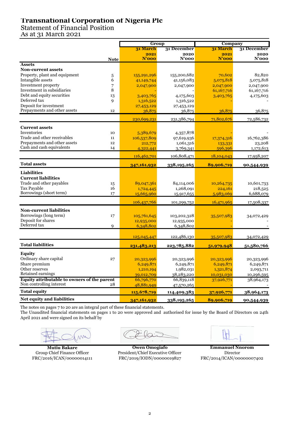Statement of Financial Position

As at 31 March 2021

|                                             | Group        |             | Company      |             |
|---------------------------------------------|--------------|-------------|--------------|-------------|
|                                             | 31 March     | 31 December | 31 March     | 31 December |
|                                             | 2021         | 2020        | 2021         | 2020        |
| <b>Note</b>                                 | <b>N'000</b> | $N'$ 000    | $N'$ 000     | $N'$ 000    |
| <b>Assets</b><br><b>Non-current assets</b>  |              |             |              |             |
| Property, plant and equipment<br>5          | 155,291,296  | 155,200,682 | 70,602       | 82,820      |
| Intangible assets<br>6                      | 41,149,744   | 41,156,083  | 5,075,818    | 5,075,818   |
| Investment property<br>7                    | 2,047,900    | 2,047,900   | 2,047,900    | 2,047,900   |
| Investment in subsidiaries<br>8             |              |             | 61, 167, 716 | 61,167,716  |
| Debt and equity securities<br>13            | 3,403,765    | 4,175,603   | 3,403,765    | 4,175,603   |
| Deferred tax<br>$\mathbf Q$                 | 1,316,522    | 1,316,522   |              |             |
| Deposit for investment                      | 27,453,129   | 27,453,129  |              |             |
| Prepayments and other assets<br>12          | 36,875       | 36,875      | 36,875       | 36,875      |
|                                             | 230,699,231  | 231,386,794 | 71,802,676   | 72,586,732  |
| <b>Current assets</b>                       |              |             |              |             |
| Inventories<br>10                           | 5,389,679    | 4,357,878   |              |             |
| Trade and other receivables<br>11           | 106,537,809  | 97,619,936  | 17,374,316   | 16,762,386  |
| Prepayments and other assets<br>12          | 212,772      | 1,061,316   | 133,331      | 23,208      |
| Cash and cash equivalents<br>14             | 4,322,441    | 3,769,341   | 596,396      | 1,172,613   |
|                                             | 116,462,701  | 106,808,471 | 18,104,043   | 17,958,207  |
| <b>Total assets</b>                         |              |             | 89,906,719   |             |
|                                             | 347,161,932  | 338,195,265 |              | 90,544,939  |
| <b>Liabilities</b>                          |              |             |              |             |
| <b>Current liabilities</b>                  |              |             |              |             |
| Trade and other payables<br>15              | 89,047,361   | 84,114,006  | 10,264,735   | 10,601,733  |
| Tax Payable<br>16                           | 1,724,445    | 1,268,091   | 224,161      | 218,525     |
| Borrowings (short term)<br>17               | 15,665,960   | 15,917,655  | 5,983,069    | 6,688,079   |
|                                             | 106,437,766  | 101,299,752 | 16,471,965   | 17,508,337  |
| <b>Non-current liabilities</b>              |              |             |              |             |
| Borrowings (long term)<br>17                | 105,761,645  | 103,202,328 | 35,507,983   | 34,072,429  |
| Deposit for shares                          | 12,935,000   | 12,935,000  |              |             |
| Deferred tax<br>9                           | 6,348,802    | 6,348,802   |              |             |
|                                             |              |             |              |             |
|                                             | 125,045,447  | 122,486,130 | 35,507,983   | 34,072,429  |
| <b>Total liabilities</b>                    | 231,483,213  | 223,785,882 | 51,979,948   | 51,580,766  |
| <b>Equity</b>                               |              |             |              |             |
| Ordinary share capital<br>27                | 20,323,996   | 20,323,996  | 20,323,996   | 20,323,996  |
| Share premium                               | 6,249,871    | 6,249,871   | 6,249,871    | 6,249,871   |
| Other reserves                              | 1,210,194    | 1,982,031   | 1,321,874    | 2,093,711   |
| Retained earnings                           | 39,012,709   | 38,283,220  | 10,031,030   | 10,296,595  |
| Equity attributable to owners of the parent | 66,796,770   | 66,839,118  | 37,926,771   | 38,964,173  |
| Non controlling interest<br>28              | 48,881,949   | 47,570,265  |              |             |
| <b>Total equity</b>                         | 115,678,719  | 114,409,383 | 37,926,771   | 38,964,173  |
| Net equity and liabilities                  | 347,161,932  | 338,195,265 | 89,906,719   | 90,544,939  |

The notes on pages 7 to 20 are an integral part of these financial statements. The Unaudited financial statements on pages 1 to 20 were approved and authorised for issue by the Board of Directors on 24th April 2021 and were signed on its behalf by

**Mutiu Bakare** Group Chief Finance Officer FRC/2016/ICAN/00000014111

President/Chief Executive Officer<br>FRC/2019/IODN/00000019827<br>FRC/2014/ICAN/000

0 - 10 - 11

**Owen Omogiafo Emmanuel Nnorom** FRC/2019/IODN/00000019827 FRC/2014/ICAN/00000007402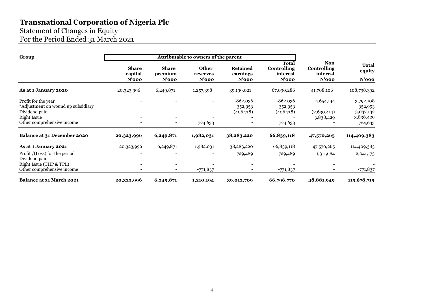# Statement of Changes in Equity For the Period Ended 31 March 2021

| Group                                                                      |                                     |                                     |                                   |                                         |                                                            |                                                   |                                        |
|----------------------------------------------------------------------------|-------------------------------------|-------------------------------------|-----------------------------------|-----------------------------------------|------------------------------------------------------------|---------------------------------------------------|----------------------------------------|
|                                                                            | <b>Share</b><br>capital<br>$N'$ 000 | <b>Share</b><br>premium<br>$N'$ 000 | <b>Other</b><br>reserves<br>N'ooo | <b>Retained</b><br>earnings<br>$N'$ 000 | <b>Total</b><br><b>Controlling</b><br>interest<br>$N'$ 000 | <b>Non</b><br>Controlling<br>interest<br>$N'$ 000 | <b>Total</b><br>equity<br><b>N'000</b> |
| <b>As at 1 January 2020</b>                                                | 20,323,996                          | 6,249,871                           | 1,257,398                         | 39,199,021                              | 67,030,286                                                 | 41,708,106                                        | 108,738,392                            |
| Profit for the year<br>*Adjustment on wound up subsidiary<br>Dividend paid |                                     |                                     |                                   | $-862,036$<br>352,953<br>(406,718)      | $-862,036$<br>352,953<br>(406,718)                         | 4,654,144<br>(2,630,414)                          | 3,792,108<br>352,953<br>$-3,037,132$   |
| <b>Right Issue</b><br>Other comprehensive income                           |                                     |                                     | 724,633                           |                                         | 724,633                                                    | 3,838,429                                         | 3,838,429<br>724,633                   |
| Balance at 31 December 2020                                                | 20,323,996                          | 6,249,871                           | 1,982,031                         | 38,283,220                              | 66,839,118                                                 | <u>47,570,265</u>                                 | 114,409,383                            |
| As at 1 January 2021                                                       | 20,323,996                          | 6,249,871                           | 1,982,031                         | 38,283,220                              | 66,839,118                                                 | 47,570,265                                        | 114,409,383                            |
| Profit /(Loss) for the period<br>Dividend paid                             |                                     |                                     |                                   | 729,489                                 | 729,489                                                    | 1,311,684                                         | 2,041,173                              |
| Right Issue (THP & TPL)<br>Other comprehensive income                      |                                     |                                     | $-771,837$                        |                                         | $-771,837$                                                 |                                                   | $-771,837$                             |
| Balance at 31 March 2021                                                   | 20,323,996                          | 6,249,871                           | 1,210,194                         | 39,012,709                              | 66,796,770                                                 | 48,881,949                                        | 115,678,719                            |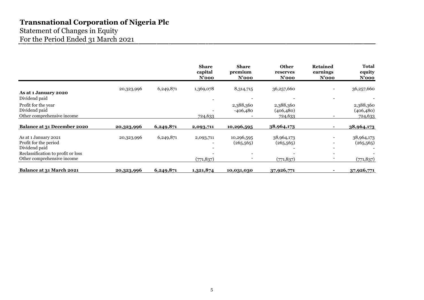# Statement of Changes in Equity For the Period Ended 31 March 2021

|                                                                                                                                    |            |           | <b>Share</b><br>capital<br>N'ooo | <b>Share</b><br>premium<br>$N'$ 000 | <b>Other</b><br>reserves<br>$N'$ 000   | <b>Retained</b><br>earnings<br>$N'$ 000 | <b>Total</b><br>equity<br>$N'$ 000        |
|------------------------------------------------------------------------------------------------------------------------------------|------------|-----------|----------------------------------|-------------------------------------|----------------------------------------|-----------------------------------------|-------------------------------------------|
| As at 1 January 2020<br>Dividend paid                                                                                              | 20,323,996 | 6,249,871 | 1,369,078                        | 8,314,715                           | 36,257,660                             |                                         | 36,257,660                                |
| Profit for the year<br>Dividend paid<br>Other comprehensive income                                                                 |            |           | 724,633                          | 2,388,360<br>$-406,480$             | 2,388,360<br>(406, 480)<br>724,633     |                                         | 2,388,360<br>(406, 480)<br><u>724,633</u> |
| Balance at 31 December 2020                                                                                                        | 20,323,996 | 6,249,871 | 2,093,711                        | 10,296,595                          | 38,964,173                             |                                         | 38,964,173                                |
| As at 1 January 2021<br>Profit for the period<br>Dividend paid<br>Reclassification to profit or loss<br>Other comprehensive income | 20,323,996 | 6,249,871 | 2,093,711<br>(771, 837)          | 10,296,595<br>(265, 565)            | 38,964,173<br>(265, 565)<br>(771, 837) |                                         | 38,964,173<br>(265, 565)<br>(771, 837)    |
| Balance at 31 March 2021                                                                                                           | 20,323,996 | 6,249,871 | 1,321,874                        | 10,031,030                          | 37,926,771                             |                                         | 37,926,771                                |

**Balance at 31 December 2016** 20,323,996 6,249,871 (14,662) 27,207,214 53,420,600 33,027,997 86,448,597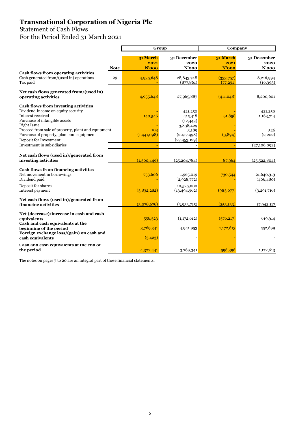### Statement of Cash Flows

For the Period Ended 31 March 2021

|                                                                                                                                                        |             |                              | Group                                        | Company                   |                                 |  |
|--------------------------------------------------------------------------------------------------------------------------------------------------------|-------------|------------------------------|----------------------------------------------|---------------------------|---------------------------------|--|
|                                                                                                                                                        | <b>Note</b> | 31 March<br>2021<br>$N'$ 000 | 31 December<br>2020<br>$N'$ 000              | 31 March<br>2021<br>N'ooo | 31 December<br>2020<br>$N'$ 000 |  |
| Cash flows from operating activities<br>Cash generated from/(used in) operations<br>Tax paid                                                           | 29          | 4,935,648                    | 28,843,748<br>(877, 861)                     | (333,757)<br>(77, 291)    | 8,216,994<br>(16,393)           |  |
| Net cash flows generated from/(used in)<br>operating activities                                                                                        |             | 4,935,648                    | 27,965,887                                   | (411,048)                 | 8,200,601                       |  |
| Cash flows from investing activities<br>Dividend Income on equity security<br>Interest received<br>Purchase of intangible assets<br><b>Right Issue</b> |             | 140,546                      | 421,250<br>415,418<br>(12, 443)<br>3,838,429 | 91,858                    | 421,250<br>1,163,714            |  |
| Proceed from sale of property, plant and equipment<br>Purchase of property, plant and equipment<br>Deposit for Investment                              |             | 103<br>(1,441,098)           | 3,189<br>(2,417,498)<br>(27, 453, 129)       | (3,894)                   | 526<br>(2,202)                  |  |
| Investment in subsidiaries                                                                                                                             |             |                              |                                              |                           | (27,106,092)                    |  |
| Net cash flows (used in)/generated from<br>investing activities                                                                                        |             | (1,300,449)                  | (25, 204, 784)                               | 87,964                    | (25,522,804)                    |  |
| Cash flows from financing activities<br>Net movement in borrowings<br>Dividend paid                                                                    |             | 753,606                      | 1,965,019<br>(2,928,772)                     | 730,544                   | 21,640,313<br>(406, 480)        |  |
| Deposit for shares<br>Interest payment                                                                                                                 |             | (3,832,282)                  | 10,525,000<br>(13, 494, 962)                 | (983, 677)                | (3,291,716)                     |  |
| Net cash flows (used in)/generated from<br>financing activities                                                                                        |             | (3,078,676)                  | (3,933,715)                                  | (253, 133)                | 17,942,117                      |  |
| Net (decrease)/increase in cash and cash<br>equivalents<br>Cash and cash equivalents at the                                                            |             | 556,523                      | (1,172,612)                                  | (576, 217)                | 619,914                         |  |
| beginning of the period<br>Foreign exchange loss/(gain) on cash and<br>cash equivalents                                                                |             | 3,769,341<br>(3,423)         | 4,941,953                                    | 1,172,613                 | 552,699                         |  |
| Cash and cash equivalents at the end of<br>the period                                                                                                  |             | 4,322,441                    | 3,769,341                                    | 596,396                   | 1,172,613                       |  |

The notes on pages 7 to 20 are an integral part of these financial statements.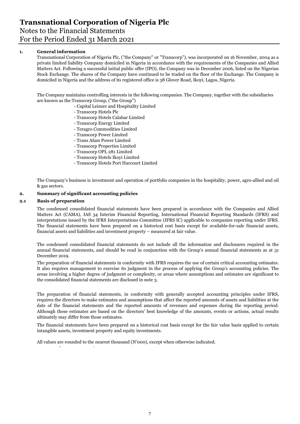# Notes to the Financial Statements For the Period Ended 31 March 2021

### **1. General information**

Transnational Corporation of Nigeria Plc, ("the Company" or "Transcorp"), was incorporated on 16 November, 2004 as a private limited liability Company domiciled in Nigeria in accordance with the requirements of the Companies and Allied Matters Act. Following a successful initial public offer (IPO), the Company was in December 2006, listed on the Nigerian Stock Exchange. The shares of the Company have continued to be traded on the floor of the Exchange. The Company is domiciled in Nigeria and the address of its registered office is 38 Glover Road, Ikoyi, Lagos, Nigeria.

The Company maintains controlling interests in the following companies. The Company, together with the subsidiaries are known as the Transcorp Group, ("the Group")

- Capital Leisure and Hospitality Limited
- Transcorp Hotels Plc
- Transcorp Hotels Calabar Limited
- Transcorp Energy Limited
- Teragro Commodities Limited
- Transcorp Power Limited
- Trans Afam Power Limited
- Transcorp Properties Limited
- Transcorp OPL 281 Limited
- Transcorp Hotels Ikoyi Limited
- Transcorp Hotels Port Harcourt Limited

The Company's business is investment and operation of portfolio companies in the hospitality, power, agro-allied and oil & gas sectors.

### **2. Summary of significant accounting policies**

### **2.1 Basis of preparation**

The condensed consolidated financial statements have been prepared in accordance with the Companies and Allied Matters Act (CAMA), IAS 34 Interim Financial Reporting, International Financial Reporting Standards (IFRS) and interpretations issued by the IFRS Interpretations Committee (IFRS IC) applicable to companies reporting under IFRS. The financial statements have been prepared on a historical cost basis except for available-for-sale financial assets, financial assets and liabilities and investment property – measured at fair value.

The condensed consolidated financial statements do not include all the information and disclosures required in the annual financial statements, and should be read in conjunction with the Group's annual financial statements as at 31 December 2019.

The preparation of financial statements in conformity with IFRS requires the use of certain critical accounting estimates. It also requires management to exercise its judgment in the process of applying the Group's accounting policies. The areas involving a higher degree of judgment or complexity, or areas where assumptions and estimates are significant to the consolidated financial statements are disclosed in note 3.

The preparation of financial statements, in conformity with generally accepted accounting principles under IFRS, requires the directors to make estimates and assumptions that affect the reported amounts of assets and liabilities at the date of the financial statements and the reported amounts of revenues and expenses during the reporting period. Although these estimates are based on the directors' best knowledge of the amounts, events or actions, actual results ultimately may differ from those estimates.

The financial statements have been prepared on a historical cost basis except for the fair value basis applied to certain intangible assets, investment property and equity investments.

All values are rounded to the nearest thousand (N'000), except when otherwise indicated.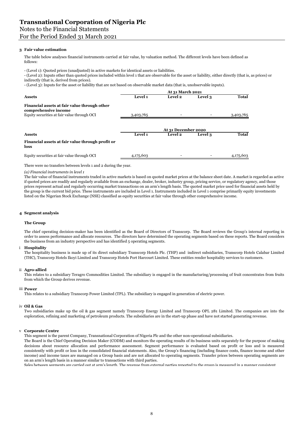### **3 Fair value estimation**

The table below analyses financial instruments carried at fair value, by valuation method. The different levels have been defined as follows:

- (Level 1): Quoted prices (unadjusted) in active markets for identical assets or liabilities.

- (Level 2): Inputs other than quoted prices included within level 1 that are observable for the asset or liability, either directly (that is, as prices) or indirectly (that is, derived from prices).

- (Level 3): Inputs for the asset or liability that are not based on observable market data (that is, unobservable inputs).

|                                                                      | At 31 March 2021 |                     |         |           |  |  |  |  |
|----------------------------------------------------------------------|------------------|---------------------|---------|-----------|--|--|--|--|
| <b>Assets</b>                                                        | Level 1          | Level 2             | Level 3 | Total     |  |  |  |  |
| Financial assets at fair value through other<br>comprehensive income |                  |                     |         |           |  |  |  |  |
| Equity securities at fair value through OCI                          | 3,403,765        |                     |         | 3,403,765 |  |  |  |  |
|                                                                      |                  | At 31 December 2020 |         |           |  |  |  |  |
|                                                                      | Level 1          |                     |         | Total     |  |  |  |  |
| <b>Assets</b>                                                        |                  | <b>Level 2</b>      | Level 3 |           |  |  |  |  |
| Financial assets at fair value through profit or<br>loss             |                  |                     |         |           |  |  |  |  |
| Equity securities at fair value through OCI                          | 4,175,603        |                     |         | 4,175,603 |  |  |  |  |

There were no transfers between levels 1 and 2 during the year.

#### *(a) Financial instruments in level 1*

The fair value of financial instruments traded in active markets is based on quoted market prices at the balance sheet date. A market is regarded as active if quoted prices are readily and regularly available from an exchange, dealer, broker, industry group, pricing service, or regulatory agency, and those prices represent actual and regularly occurring market transactions on an arm's length basis. The quoted market price used for financial assets held by the group is the current bid price. These instruments are included in Level 1. Instruments included in Level 1 comprise primarily equity investments listed on the Nigerian Stock Exchange (NSE) classified as equity securities at fair value through other comprehensive income.

### **4 Segment analysis**

#### **The Group**

The chief operating decision-maker has been identified as the Board of Directors of Transcorp. The Board reviews the Group's internal reporting in order to assess performance and allocate resources. The directors have determined the operating segments based on these reports. The Board considers the business from an industry perspective and has identified 5 operating segments.

#### i **Hospitality**

The hospitality business is made up of its direct subsidiary Transcorp Hotels Plc. (THP) and indirect subsidiaries, Transcorp Hotels Calabar Limited (THC), Transcorp Hotels Ikoyi Limited and Transcorp Hotels Port Harcourt Limited. These entities render hospitality services to customers.

### ii **Agro-allied**

This relates to a subsidiary Teragro Commodities Limited. The subsidiary is engaged in the manufacturing/processing of fruit concentrates from fruits from which the Group derives revenue.

### iii **Power**

This relates to a subsidiary Transcorp Power Limited (TPL). The subsidiary is engaged in generation of electric power.

#### iv **Oil & Gas**

Two subsidiaries make up the oil & gas segment namely Transcorp Energy Limited and Transcorp OPL 281 Limited. The companies are into the exploration, refining and marketing of petroleum products. The subsidiaries are in the start-up phase and have not started generating revenue.

### v **Corporate Centre**

This segment is the parent Company, Transnational Corporation of Nigeria Plc and the other non-operational subsidiaries.

The Board is the Chief Operating Decision Maker (CODM) and monitors the operating results of its business units separately for the purpose of making decisions about resource allocation and performance assessment. Segment performance is evaluated based on profit or loss and is measured consistently with profit or loss in the consolidated financial statements. Also, the Group's financing (including finance costs, finance income and other income) and income taxes are managed on a Group basis and are not allocated to operating segments. Transfer prices between operating segments are on an arm's length basis in a manner similar to transactions with third parties.

Sales between segments are carried out at arm's length. The revenue from external parties reported to the group is measured in a manner consistent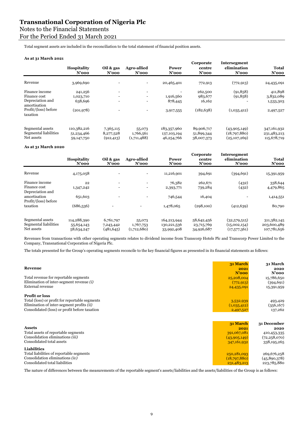## **Transnational Corporation of Nigeria Plc** Notes to the Financial Statements For the Period Ended 31 March 2021

Total segment assets are included in the reconciliation to the total statement of financial position assets.

### **As at 31 March 2021**

|                                                         | Hospitality<br>$N'$ 000                 | Oil $\&$ gas<br>$N'$ 000             | Agro-allied<br>$N'$ 000            | Power<br>$N'$ 000                          | Corporate<br>centre<br>$N'$ 000        | Intersegment<br>elimination<br>$N'$ 000        | <b>Total</b><br>$N'$ 000                  |
|---------------------------------------------------------|-----------------------------------------|--------------------------------------|------------------------------------|--------------------------------------------|----------------------------------------|------------------------------------------------|-------------------------------------------|
| Revenue                                                 | 3,969,690                               |                                      | $\overline{\phantom{0}}$           | 20,465,401                                 | 772,913                                | (772, 913)                                     | 24,435,091                                |
| Finance income                                          | 241,256                                 | $\overline{\phantom{a}}$             | $\overline{\phantom{a}}$           |                                            | 262,500                                | (91, 858)                                      | 411,898                                   |
| Finance cost                                            | 1,023,710                               | $\overline{\phantom{0}}$             | $\overline{\phantom{a}}$           | 1,916,560                                  | 983,677                                | (91, 858)                                      | 3,832,089                                 |
| Depreciation and<br>amortisation                        | 638,696                                 | $\overline{\phantom{0}}$             | $\overline{\phantom{0}}$           | 878,445                                    | 16,162                                 |                                                | 1,533,303                                 |
| Profit/(loss) before<br>taxation                        | (201, 978)                              |                                      | $\overline{\phantom{a}}$           | 3,917,555                                  | (182, 638)                             | (1,035,412)                                    | 2,497,527                                 |
| Segmental assets<br>Segmental liabilities<br>Net assets | 110,382,216<br>51,234,466<br>59,147,750 | 7,365,115<br>8,277,528<br>(912, 413) | 55,073<br>1,766,561<br>(1,711,488) | 183,357,960<br>137, 103, 194<br>46,254,766 | 89,906,717<br>51,899,344<br>38,007,373 | (43,905,149)<br>(18,797,880)<br>(25, 107, 269) | 347,161,932<br>231,483,213<br>115,678,719 |

### **As at 31 March 2020**

| Hospitality<br>$N'$ 000   | Oil & gas<br>$N'$ 000    | Agro-allied<br>$N'$ 000  | Power<br>$N'$ 000          | Corporate<br>centre<br>$N'$ 000 | Intersegment<br>elimination<br>$N'$ 000 | <b>Total</b><br>$N'$ 000                    |
|---------------------------|--------------------------|--------------------------|----------------------------|---------------------------------|-----------------------------------------|---------------------------------------------|
| 4,175,058                 |                          | $\overline{\phantom{a}}$ | 11,216,901                 | 394,691                         | (394, 691)                              | 15,391,959                                  |
| 22                        | $\overline{\phantom{a}}$ | $\overline{\phantom{a}}$ | 76,382                     | 262,671                         | (432)                                   | 338,644                                     |
| 1,347,242                 | $\overline{\phantom{0}}$ |                          | 2,393,771                  | 739,284                         | (432)                                   | 4,479,865                                   |
|                           |                          |                          |                            |                                 |                                         | 1,414,551                                   |
|                           |                          |                          |                            |                                 |                                         |                                             |
| (686, 536)                |                          | $\overline{\phantom{0}}$ | 1,478,065                  | (298,100)                       | (412, 639)                              | 80,790                                      |
| 114,288,390<br>55,654,143 | 6,761,797<br>7,243,442   | 55,073<br>1,767,753      | 164,213,944<br>130,221,536 | 58,642,456<br>23,715,769        | (32,579,515)<br>(15,002,154)            | 311, 382, 145<br>203,600,489<br>107,781,656 |
|                           | 651,603<br>58,634,247    | (481, 645)               | (1,712,680)                | 746,544<br>33,992,408           | 16,404<br>34,926,687                    | (17,577,361)                                |

Revenues from transactions with other operating segments relates to dividend income from Transcorp Hotels Plc and Transcorp Power Limited to the Company, Transnational Corporation of Nigeria Plc.

The totals presented for the Group's operating segments reconcile to the key financial figures as presented in its financial statements as follows:

| Revenue                                          | 31 March<br>2021 | 31 March<br>2020 |
|--------------------------------------------------|------------------|------------------|
| Total revenue for reportable segments            | $N'$ 000         | $N'$ 000         |
| Elimination of inter-segment revenue $(i)$       | 25,208,004       | 15,786,650       |
|                                                  | (772, 913)       | (394,691)        |
| External revenue                                 | 24,435,091       | 15,391,959       |
| <b>Profit or loss</b>                            |                  |                  |
| Total (loss) or profit for reportable segments   | 3,532,939        | 493,429          |
| Elimination of inter-segment profits <i>(ii)</i> | (1,035,412)      | (356,167)        |
| Consolidated (loss) or profit before taxation    | 2,497,527        | 137,262          |
|                                                  | 31 March         | 31 December      |
| <b>Assets</b>                                    | 2021             | 2020             |
| Total assets of reportable segments              | 391,067,081      | 410,453,335      |
| Consolidation eliminations <i>(iii)</i>          | (43,905,149)     | (72, 258, 070)   |
| Consolidated total assets                        | 347,161,932      | 338,195,265      |
| <b>Liabilities</b>                               |                  |                  |
| Total liabilities of reportable segments         | 250,281,093      | 269,676,258      |
| Consolidation eliminations (iv)                  | (18,797,880)     | (45,890,378)     |
| Consolidated total liabilities                   | 231,483,213      | 223,785,880      |

The nature of differences between the measurements of the reportable segment's assets/liabilities and the assets/liabilities of the Group is as follows: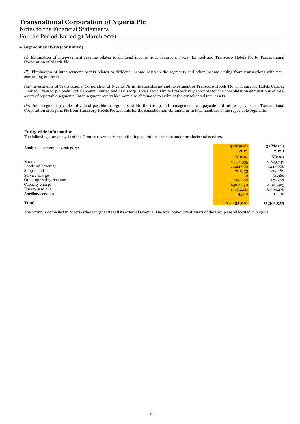### **4 Segment analysis (continued)**

*(i)* Elimination of inter-segment revenue relates to dividend income from Transcorp Power Limited and Transcorp Hotels Plc to Transnational Corporation of Nigeria Plc.

*(ii)* Elimination of inter-segment profits relates to dividend income between the segments and other income arising from transactions with noncontrolling interests.

*(iii)* Investments of Transnational Corporation of Nigeria Plc in its subsidiaries and investment of Transcorp Hotels Plc in Transcorp Hotels Calabar Limited, Transcorp Hotels Port Harcourt Limited and Transcorp Hotels Ikoyi Limited respectively accounts for the consolidation eliminations of total assets of reportable segments. Inter-segment receivables were also eliminated to arrive at the consolidated total assets.

*(iv)* Inter-segment payables, dividend payable to segments within the Group and management fees payable and interest payable to Transnational Corporation of Nigeria Plc from Transcorp Hotels Plc accounts for the consolidation eliminations in total liabilities of the reportable segments.

### **Entity-wide information**

The following is an analysis of the Group's revenue from continuing operations from its major products and services.

| Analysis of revenue by category: | 31 March<br>2021 | 31 March<br>2020 |
|----------------------------------|------------------|------------------|
|                                  | N'ooo            | $N'$ 000         |
| Rooms                            | 2,554,935        | 2,639,742        |
| Food and beverage                | 1,024,960        | 1,115,006        |
| Shop rental                      | 201,133          | 213,482          |
| Service charge                   |                  | 34,366           |
| Other operating revenue          | 188,662          | 172,462          |
| Capacity charge                  | 6,928,790        | 4,301,425        |
| Energy sent out                  | 13,532,111       | 6,905,276        |
| Ancillary services               | 4,500            | 10,200           |
| <b>Total</b>                     | 24,435,091       | 15,391,959       |

The Group is domiciled in Nigeria where it generates all its external revenue. The total non-current assets of the Group are all located in Nigeria.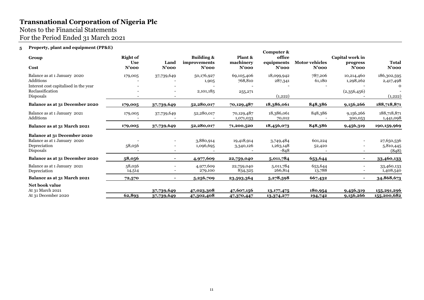# Notes to the Financial Statements For the Period Ended 31 March 2021

### **5 Property, plant and equipment (PP&E)**

| Group<br>Cost                                                          | <b>Right of</b><br><b>Use</b><br>$N'$ 000 | Land<br>$N'$ 000 | <b>Building &amp;</b><br><i>improvements</i><br>N'ooo | Plant &<br>machinery<br>$N'$ 000 | Computer &<br>office<br>equipments<br>$N'$ 000 | <b>Motor vehicles</b><br>$N'$ 000 | Capital work in<br>progress<br>$N'$ 000 | <b>Total</b><br>$N'$ 000 |
|------------------------------------------------------------------------|-------------------------------------------|------------------|-------------------------------------------------------|----------------------------------|------------------------------------------------|-----------------------------------|-----------------------------------------|--------------------------|
| Balance as at 1 January 2020                                           | 179,005                                   | 37,739,649       | 50,176,927                                            | 69,105,406                       | 18,099,942                                     | 787,206                           | 10,214,460                              | 186,302,595              |
| Additions                                                              |                                           |                  | 1,905                                                 | 768,810                          | 287,341                                        | 61,180                            | 1,298,262                               | 2,417,498                |
| Interest cost capitalised in the year<br>Reclassification<br>Disposals |                                           |                  | 2,101,185                                             | 255, 271                         | (1,222)                                        |                                   | (2,356,456)                             | $\Omega$<br>(1,222)      |
| Balance as at 31 December 2020                                         | 179,005                                   | 37,739,649       | 52,280,017                                            | 70,129,487                       | 18,386,061                                     | 848,386                           | 9,156,266                               | 188,718,871              |
| Balance as at 1 January 2021<br>Additions                              | 179,005                                   | 37,739,649       | 52,280,017                                            | 70,129,487<br>1,071,033          | 18,386,061<br>70,012                           | 848,386                           | 9,156,266<br>300,053                    | 188,718,871<br>1,441,098 |
| Balance as at 31 March 2021                                            | 179,005                                   | 37,739,649       | 52,280,017                                            | 71,200,520                       | 18,456,073                                     | 848,386                           | 9,456,319                               | 190,159,969              |
| Balance at 31 December 2020                                            |                                           |                  |                                                       |                                  |                                                |                                   |                                         |                          |
| Balance as at 1 January 2020                                           |                                           |                  | 3,880,914                                             | 19,418,914                       | 3,749,484                                      | 601,224                           |                                         | 27,650,536               |
| Depreciation                                                           | 58,056                                    |                  | 1,096,695                                             | 3,340,126                        | 1,263,148                                      | 52,420                            |                                         | 5,810,445                |
| Disposals                                                              |                                           |                  |                                                       |                                  | $-848$                                         |                                   |                                         | (848)                    |
| Balance as at 31 December 2020                                         | 58,056                                    |                  | 4,977,609                                             | 22,759,040                       | 5,011,784                                      | 653,644                           |                                         | 33,460,133               |
| Balance as at 1 January 2021<br>Depreciation                           | 58,056<br>14,514                          |                  | 4,977,609<br>279,100                                  | 22,759,040<br>834,325            | 5,011,784<br>266,814                           | 653,644<br>13,788                 |                                         | 33,460,133<br>1,408,540  |
| Balance as at 31 March 2021                                            | 72,570                                    |                  | 5,256,709                                             | 23,593,364                       | 5,278,598                                      | 667,432                           |                                         | 34,868,673               |
| <b>Net book value</b>                                                  |                                           |                  |                                                       |                                  |                                                |                                   |                                         |                          |
| At 31 March 2021                                                       |                                           | 37,739,649       | 47,023,308                                            | 47,607,156                       | 13, 177, 475                                   | 180,954                           | 9,456,319                               | 155,291,296              |
| At 31 December 2020                                                    | 62,893                                    | 37,739,649       | 47,302,408                                            | 47,370,447                       | 13,374,277                                     | 194,742                           | 9,156,266                               | 155,200,682              |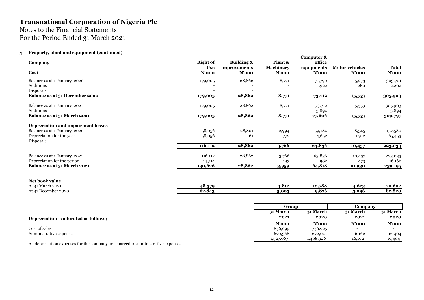### **5 Property, plant and equipment (continued)**

| Company                                                                                                      | <b>Right of</b><br><b>Use</b> | Building &<br>improvements | Plant &<br><b>Machinery</b>    | Computer &<br>office<br>equipments | <b>Motor vehicles</b>   | <b>Total</b>                                |
|--------------------------------------------------------------------------------------------------------------|-------------------------------|----------------------------|--------------------------------|------------------------------------|-------------------------|---------------------------------------------|
| Cost                                                                                                         | $N'$ 000                      | $N'$ 000                   | $N'$ 000                       | $N'$ 000                           | $N'$ 000                | N'ooo                                       |
| Balance as at 1 January 2020<br>Additions<br>Disposals                                                       | 179,005                       | 28,862                     | 8,771                          | 71,790<br>1,922                    | 15,273<br>280           | 303,701<br>2,202                            |
| Balance as at 31 December 2020                                                                               | 179,005                       | 28,862                     | 8,771                          | 73,712                             | 15,553                  | 305,903                                     |
| Balance as at 1 January 2021<br>Additions                                                                    | 179,005                       | 28,862                     | 8,771                          | 73,712<br>3,894                    | 15,553                  | 305,903<br>3,894                            |
| Balance as at 31 March 2021                                                                                  | 179,005                       | 28,862                     | 8,771                          | 77,606                             | 15,553                  | 309,797                                     |
| Depreciation and impairment losses<br>Balance as at 1 January 2020<br>Depreciation for the year<br>Disposals | 58,056<br>58,056              | 28,801<br>61               | 2,994<br>772                   | 59,184<br>4,652                    | 8,545<br>1,912          | 157,580<br>65,453                           |
|                                                                                                              | 116,112                       | 28,862                     | 3,766                          | 63,836                             | 10,457                  | 223,033                                     |
| Balance as at 1 January 2021<br>Depreciation for the period<br>Balance as at 31 March 2021                   | 116,112<br>14,514<br>130,626  | 28,862<br>28,862           | 3,766<br>193<br>3,959          | 63,836<br>982<br>64,818            | 10,457<br>473<br>10,930 | 223,033<br>16,162<br>239,195                |
| Net book value<br>At 31 March 2021<br>At 31 December 2020                                                    | 48,379<br>62,843              | $\blacksquare$             | 4,812<br>5,005                 | 12,788<br>9,876                    | 4,623<br>5,096          | 70,602<br>82,820                            |
|                                                                                                              |                               |                            |                                |                                    |                         |                                             |
|                                                                                                              |                               |                            | Group<br>31 March              | 31 March                           | Company<br>31 March     | 31 March                                    |
| Depreciation is allocated as follows;                                                                        |                               |                            | 2021                           | 2020                               | 2021                    | 2020                                        |
| Cost of sales<br>Administrative expenses                                                                     |                               |                            | $N'$ 000<br>856,699<br>670,368 | $N'$ 000<br>736,925<br>672,001     | $N'$ 000<br>16,162      | N'ooo<br>$\overline{\phantom{a}}$<br>16,404 |

All depreciation expenses for the company are charged to administrative expenses.

1,527,067 1,408,926 16,162 16,404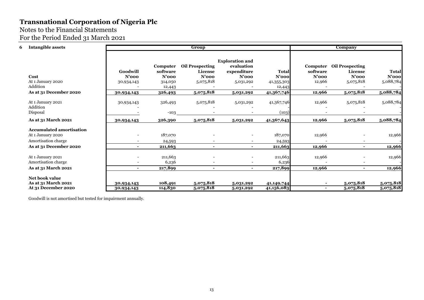# Notes to the Financial Statements

# For the Period Ended 31 March 2021

| 6 | <b>Intangible assets</b>                                                                              |                                    | Group                                              |                                                            |                                                                              |                                                | Company                                    |                                                            |                                     |
|---|-------------------------------------------------------------------------------------------------------|------------------------------------|----------------------------------------------------|------------------------------------------------------------|------------------------------------------------------------------------------|------------------------------------------------|--------------------------------------------|------------------------------------------------------------|-------------------------------------|
|   | Cost<br>At 1 January 2020<br>Addition                                                                 | Goodwill<br>$N'$ 000<br>30,934,143 | Computer<br>software<br>N'ooo<br>314,050<br>12,443 | <b>Oil Prospecting</b><br>License<br>$N'$ 000<br>5,075,818 | <b>Exploration and</b><br>evaluation<br>expenditure<br>$N'$ 000<br>5,031,292 | <b>Total</b><br>N'oool<br>41,355,303<br>12,443 | Computer<br>software<br>$N'$ 000<br>12,966 | <b>Oil Prospecting</b><br>License<br>$N'$ 000<br>5,075,818 | <b>Total</b><br>N'oool<br>5,088,784 |
|   | As at 31 December 2020                                                                                | 30,934,143                         | 326,493                                            | 5,075,818                                                  | 5,031,292                                                                    | 41,367,746                                     | 12,966                                     | 5,075,818                                                  | 5,088,784                           |
|   | At 1 January 2021<br>Addition<br>Disposal                                                             | 30,934,143                         | 326,493<br>$-103$                                  | 5,075,818                                                  | 5,031,292                                                                    | 41,367,746<br>(103)                            | 12,966                                     | 5,075,818                                                  | 5,088,784                           |
|   | As at 31 March 2021                                                                                   | 30,934,143                         | 326,390                                            | 5,075,818                                                  | 5,031,292                                                                    | 41,367,643                                     | 12,966                                     | 5,075,818                                                  | 5,088,784                           |
|   | <b>Accumulated amortisation</b><br>At 1 January 2020<br>Amortisation charge<br>As at 31 December 2020 | $\overline{\phantom{a}}$           | 187,070<br>24,593<br>211,663                       | $\blacksquare$                                             | $\overline{\phantom{a}}$                                                     | 187,070<br>24,593<br>211,663                   | 12,966<br>12,966                           | $\blacksquare$                                             | 12,966<br>12,966                    |
|   | At 1 January 2021<br>Amortisation charge<br>As at 31 March 2021                                       | $\blacksquare$                     | 211,663<br>6,236<br>217,899                        | $\overline{\phantom{0}}$<br>$\overline{\phantom{0}}$       | $\blacksquare$<br>$\blacksquare$                                             | 211,663<br>6,236<br>217,899                    | 12,966<br>12,966                           | $\blacksquare$                                             | 12,966<br>12,966                    |
|   | Net book value<br>As at 31 March 2021<br>At 31 December 2020                                          | 30,934,143<br>30,934,143           | 108,491<br>114,830                                 | 5,075,818<br>5,075,818                                     | 5,031,292<br>5,031,292                                                       | 41,149,744<br>41,156,083                       | $\sim$                                     | 5,075,818<br>5,075,818                                     | 5,075,818<br>5,075,818              |

Goodwill is not amortised but tested for impairment annually.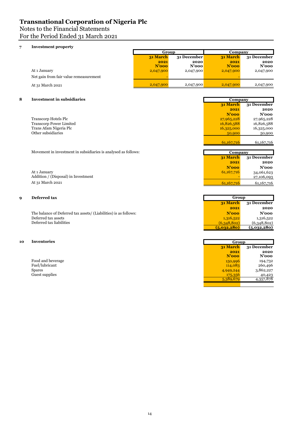# Notes to the Financial Statements

For the Period Ended 31 March 2021

### **7 Investment property**

|                                        | Group                   |           | Company   |             |
|----------------------------------------|-------------------------|-----------|-----------|-------------|
|                                        | 31 March<br>31 December |           | 31 March  | 31 December |
|                                        | 2021                    | 2020      | 2021      | 2020        |
|                                        | N'ooo                   | $N'$ 000  | N'ooo     | $N'$ 000    |
| At 1 January                           | 2,047,900               | 2,047,900 | 2,047,900 | 2,047,900   |
| Net gain from fair value remeasurement |                         |           |           |             |
| At 31 March 2021                       | 2,047,900               | 2,047,900 | 2,047,900 | 2,047,900   |

### **8 Investment in subsidiaries**

Transcorp Hotels Plc Transcorp Power Limited 16,826,588 16,826,588 16,826,588 Trans Afam Nigeria Plc 16,325,000 16,325,000 16,325,000 16,325,000 16,325,000 16,325,000 16,325,000 16,325,000 16,325,000 16,325,000 16,325,000 16,325,000 16,325,000 16,325,000 16,325,000 16,325,000 16,325,000 16,325,000 1 Other subsidiaries 60,900 50,900 50,900 50,900 50,900 50,900 50,900 50,900 50,900 50,900 50,900 50,900 50,900 50,900 50,900 50,900 50,900 50,900 50,900 50,900 50,900 50,900 50,900 50,900 50,900 50,900 50,900 50,900 50,900

Movement in investment in subsidiaries is analysed as follows:

### **9 Deferred tax**

### **10 Inventories**

|                                                                 | 2021         | 2020                     |
|-----------------------------------------------------------------|--------------|--------------------------|
|                                                                 | $N'$ 000     | $N'$ 000                 |
| At 1 January<br>Addition / (Disposal) in Investment             | 61,167,716   | 34,061,623<br>27,106,093 |
| At 31 March 2021                                                | 61,167,716   | 61,167,716               |
| <b>Deferred tax</b>                                             |              | Group                    |
|                                                                 | 31 March     | 31 December              |
|                                                                 | 2021         | 2020                     |
| The balance of Deferred tax assets/(Liabilities) is as follows: | N'ooo        | $N'$ 000                 |
| Deferred tax assets                                             | 1,316,522    | 1,316,522                |
| Deferred tax liabilities                                        | (6,348,802)  | (6,348,802)              |
|                                                                 | (5.032, 280) | (5,032,280)              |

**31 March 2021**

**Company**

**31 March**

**Company**

**31 December 2020**

**31 December** 

**N'000 N'000**<br>27,965,228 **27,965,228** 

61,167,716 61,167,716

| <b>Inventories</b> | Group     |             |
|--------------------|-----------|-------------|
|                    | 31 March  | 31 December |
|                    | 2021      | 2020        |
|                    | N'ooo     | $N'$ 000    |
| Food and beverage  | 150,996   | 194,732     |
| Fuel/lubricant     | 114,083   | 260,496     |
| Spares             | 4,949,244 | 3,862,227   |
| Guest supplies     | 175,356   | 40,423      |
|                    | 5.380.670 | 4, 357, 878 |
|                    |           |             |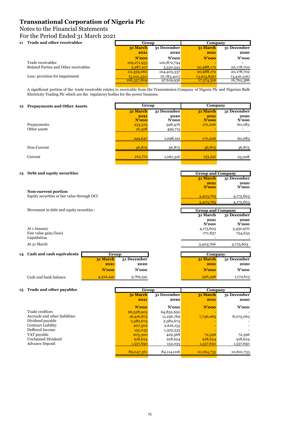## Notes to the Financial Statements

For the Period Ended 31 March 2021

### **11 Trade and other receivables**

| <b>Trade and other receivables</b>    | Group       |             | Company     |             |
|---------------------------------------|-------------|-------------|-------------|-------------|
|                                       | 31 March    | 31 December | 31 March    | 31 December |
|                                       | 2021        | 2020        | 2021        | 2020        |
|                                       | $N'$ 000    | $N'$ 000    | $N'$ 000    | $N'$ 000    |
| Trade receivables                     | 109,271,953 | 100,872,794 |             |             |
| Related Parties and Other receivables | 2,287,107   | 3,530,543   | 20,988,172  | 20,178,702  |
|                                       | 111,559,060 | 104,403,337 | 20,988,172  | 20,178,702  |
| Less: provision for impairment        | (5,021,251) | (6,783,401) | (3,613,856) | (3,416,316) |
|                                       | 106.537.809 | 97,619,936  | 17,374,316  | 16,762,386  |
|                                       |             |             |             |             |

A significant portion of the trade receivable relates to receivable from the Transmission Company of Nigeria Plc and Nigerian Bulk Electricity Trading Plc which are the regulatory bodies for the power business.

#### **12 Prepayments and Other Assets**

| <b>Prepayments and Other Assets</b> | Group    |             | Company  |             |
|-------------------------------------|----------|-------------|----------|-------------|
|                                     | 31 March | 31 December | 31 March | 31 December |
|                                     | 2021     | 2020        | 2021     | 2020        |
|                                     | N'ooo    | N'000       | N'ooo    | $N'$ 000    |
| Prepayments                         | 233,319  | 598,476     | 170,206  | 60,083      |
| Other assets                        | 16,328   | 499,715     |          |             |
|                                     |          |             |          |             |
|                                     | 249,647  | 1,098,191   | 170,206  | 60,083      |
|                                     |          |             |          |             |
| Non-Current                         | 36,875   | 36,875      | 36,875   | 36,875      |
|                                     |          |             |          |             |
| Current                             | 212,772  | 1,061,316   | 133,331  | 23,208      |
|                                     |          |             |          |             |

### **13 Debt and equity securities**

|                                             | 31 March                 | 31 December      |
|---------------------------------------------|--------------------------|------------------|
|                                             | 2021<br>N'ooo            | 2020<br>$N'$ 000 |
| <b>Non-current portion</b>                  |                          |                  |
| Equity securities at fair value through OCI | 3,403,765                | 4,175,603        |
|                                             | 3,403,765                | 4,175,603        |
| Movement in debt and equity securities :    | <b>Group and Company</b> |                  |
|                                             | 31 March                 | 31 December      |
|                                             | 2021                     | 2020             |
|                                             | $N'$ 000                 | $N'$ 000         |
| At 1 January                                | 4,175,603                | 3,450,970        |
| Fair value gain/(loss)                      | $-771,837$               | 724,633          |
| Liquidation                                 |                          |                  |
| At 31 March                                 | 3,403,766                | 4,175,603        |
| 14 Cash and cash equivalents<br>Group       | Company                  |                  |
| 31 December<br>31 March                     | 31 March                 | 31 December      |
| 2021<br>2020                                | 2021                     | 2020             |
| $N'$ 000<br>$N'$ 000                        | $N'$ 000                 | $N'$ 000         |

| Trade and other payables<br>15 | Group      |             | Company   |             |
|--------------------------------|------------|-------------|-----------|-------------|
|                                | 31 March   | 31 December | 31 March  | 31 December |
|                                | 2021       | 2020        | 2021      | 2020        |
|                                | N'ooo      | $N'$ 000    | $N'$ 000  | $N'$ 000    |
| Trade creditors                | 66,528,903 | 64,852,650  |           |             |
| Accruals and other liabilities | 16,916,875 | 11,256,769  | 7,736,065 | 8,073,063   |
| Dividend payable               | 2,582,674  | 2,582,674   |           |             |
| Contract Liability             | 207,302    | 2,616,153   |           |             |
| Deffered Income                | 152,033    | 1,305,535   |           |             |
| VAT payable                    | 203,300    | 429,568     | 72,396    | 72,396      |
| Unclaimed Dividend             | 918,624    | 918,624     | 918,624   | 918,624     |
| <b>Advance Deposit</b>         | 1,537,650  | 152,033     | 1,537,650 | 1,537,650   |
|                                |            |             |           |             |

Cash and bank balance **1.172,613** 1,172,613

89,047,361 84,114,006 10,264,735 10,601,733

**Group and Company**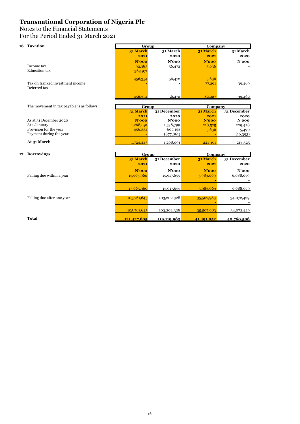# Notes to the Financial Statements

For the Period Ended 31 March 2021

| 16 | <b>Taxation</b>                            | Group             |                     | Company             |                     |
|----|--------------------------------------------|-------------------|---------------------|---------------------|---------------------|
|    |                                            | 31 March          | 31 March            | 31 March            | 31 March            |
|    |                                            | 2021              | 2020                | 2021                | 2020                |
|    |                                            | $N'$ 000          | $N'$ 000            | $N'$ 000            | $N'$ 000            |
|    | Income tax                                 | 92,383            | 56,472              | 5,636               |                     |
|    | <b>Education</b> tax                       | 363,971           |                     |                     |                     |
|    |                                            | 456,354           | 56,472              | 5,636               |                     |
|    | Tax on franked investment income           |                   |                     | 77,291              | 39,469              |
|    | Deferred tax                               |                   |                     |                     |                     |
|    |                                            |                   |                     |                     |                     |
|    |                                            | 456,354           | 56,472              | 82.927              | 39,469              |
|    |                                            |                   |                     |                     |                     |
|    | The movement in tax payable is as follows: | Group<br>31 March | 31 December         | Company<br>31 March | 31 December         |
|    |                                            | 2021              | 2020                | 2021                | 2020                |
|    | As at 31 December 2020                     | N'ooo             | $N'$ 000            | N'ooo               | $N'$ 000            |
|    | At 1 January                               | 1,268,091         | 1,538,799           | 218,525             | 229,428             |
|    | Provision for the year                     | 456,354           | 607,153             | 5,636               | 5,490               |
|    | Payment during the year                    |                   | (877, 861)          |                     | (16,393)            |
|    | At 31 March                                |                   |                     |                     |                     |
|    |                                            | 1,724,445         | 1,268,091           | 224,161             | 218,525             |
|    |                                            |                   |                     |                     |                     |
| 17 | <b>Borrowings</b>                          | Group             |                     | Company             |                     |
|    |                                            | 31 March<br>2021  | 31 December<br>2020 | 31 March<br>2021    | 31 December<br>2020 |
|    |                                            |                   |                     |                     |                     |
|    |                                            | N'ooo             | $N'$ 000            | N'ooo               | $N'$ 000            |
|    | Falling due within a year                  | 15,665,960        | 15,917,655          | 5,983,069           | 6,688,079           |
|    |                                            |                   |                     |                     |                     |
|    |                                            | 15,665,960        | 15,917,655          | 5,983,069           | 6,688,079           |
|    |                                            |                   |                     |                     |                     |
|    | Falling due after one year                 | 105,761,645       | 103,202,328         | 35,507,983          | 34,072,429          |
|    |                                            |                   |                     |                     |                     |
|    |                                            | 105,761,645       | 103,202,328         | 35,507,983          | 34,072,429          |
|    |                                            |                   |                     |                     |                     |
|    | <b>Total</b>                               | 121,427,605       | 119,119,983         | 41,491,052          | 40,760,508          |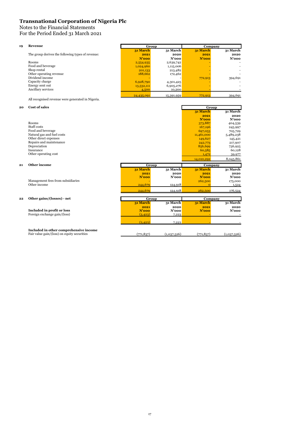Notes to the Financial Statements

For the Period Ended 31 March 2021

| 19 | Revenue                                           |            | Group      | Company    |                 |
|----|---------------------------------------------------|------------|------------|------------|-----------------|
|    |                                                   | 31 March   | 31 March   | 31 March   | <b>31 March</b> |
|    | The group derives the following types of revenue: | 2021       | 2020       | 2021       | 2020            |
|    |                                                   | $N'$ 000   | N'ooo      | N'ooo      | $N'$ 000        |
|    | Rooms                                             | 2,554,935  | 2,639,742  |            |                 |
|    | Food and beverage                                 | 1,024,960  | 1,115,006  |            |                 |
|    | Shop rental                                       | 201,133    | 213,482    |            |                 |
|    | Other operating revenue                           | 188,662    | 172,462    |            |                 |
|    | Dividend income                                   |            |            | 772,913    | 394,691         |
|    | Capacity charge                                   | 6,928,790  | 4,301,425  |            |                 |
|    | Energy sent out                                   | 13,532,111 | 6,905,276  |            |                 |
|    | Ancillary services                                | 4,500      | 10,200     |            |                 |
|    |                                                   | 24,435,091 | 15,391,959 | 772,913    | 394,691         |
|    | All recognised revenue were generated in Nigeria. |            |            |            |                 |
| 20 | <b>Cost of sales</b>                              |            |            |            | Group           |
|    |                                                   |            |            | 31 March   | <b>31 March</b> |
|    |                                                   |            |            | 2021       | 2020            |
|    |                                                   |            |            | N'ooo      | $N'$ 000        |
|    | Rooms                                             |            |            | 373,887    | 404,539         |
|    | Staff costs                                       |            |            | 167,196    | 245,997         |
|    | Food and beverage                                 |            |            | 697,053    | 705,729         |
|    | Natural gas and fuel costs                        |            |            | 11,461,000 | 5,489,238       |
|    | Other direct expenses                             |            |            | 149,627    | 145,421         |
|    | Repairs and maintenance                           |            |            | 242,773    | 217,907         |
|    | Depreciation                                      |            |            | 856,699    | 736,925         |
|    | Insurance                                         |            |            | 60,585     | 60,128          |
|    | Other operating cost                              |            |            | 1,472      | 39,977          |

> **31 March** 2021<br>N'000

### **21 Other income**

Management fees from subsidiaries and the contract of the contract of the contract of the contract of the contract of the contract of the contract of the contract of the contract of the contract of the contract of the cont Other income 244,679 124,918 244,679 124,918 224,918 20

### **22 Other gains/(losses) - net**

Foreign exchange gain/(loss)

244,679 124,918 262,500 176,524 **31 March 2021 31 March 2020 31 March** 2021<br>N'000 **31 March 2020 Included in profit or loss**<br> **N'000 N'000 N'000 N'000 N'000 N'000 N'000 N'000 N'000 N'000 N'000 N'000 N'000 N'000 N'000 N'000 N'000 N'000 1,223**  $(3,423)$  7,223 -  $-$ **Group Company**

**Group Company**

**2020 N'000 N'000 N'000 N'000**

**31 March** 2021<br>N'000

**31 March**

14,010,292 8,045,861

**31 March 2020**

**Included in other comprehensive income**<br>
Fair value gain/(loss) on equity securities (771,837) (1,037,526) (771,837) (1,037,526)

17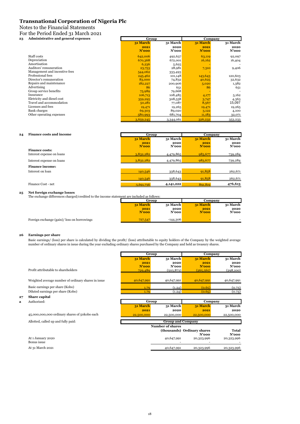Notes to the Financial Statements

For the Period Ended 31 March 2021

**23 Administrative and general expenses**

|                               | 31 March  | <b>31 March</b> | 31 March | 31 March |
|-------------------------------|-----------|-----------------|----------|----------|
|                               | 2021      | 2020            | 2021     | 2020     |
|                               | N'ooo     | N'ooo           | N'ooo    | $N'$ 000 |
| Staff costs                   | 642,006   | 492,637         | 63,119   | 92,097   |
| Depreciation                  | 670,368   | 672,001         | 16,162   | 16,404   |
| Amortisation                  | 6,236     | 5,625           |          |          |
| Auditors' remuneration        | 23,753    | 28,981          | 7,310    | 9,406    |
| Management and incentive fees | 544,062   | 333,493         |          |          |
| Professional fees             | 245,462   | 101,148         | 143,643  | 120,603  |
| Director's remuneration       | 83,000    | 74,832          | 40,625   | 32,632   |
| Repairs and maintenance       | 182,227   | 200,906         | 5,020    | 1,382    |
| Advertising                   | 86        | 651             | 86       | 651      |
| Group service benefits        | 75,989    | 79,668          |          |          |
| Insurance                     | 106,713   | 108,485         | 4,177    | 5,162    |
| Eletricity and diesel cost    | 359,295   | 308,558         | 3,747    | 4,363    |
| Travel and accommodation      | 50,281    | 77,087          | 8,567    | 15,097   |
| Licenses and fees             | 19,471    | 19,265          | 19,471   | 19,265   |
| Bank charges                  | 69,303    | 89,020          | 3,122    | 4,100    |
| Other operating expenses      | 580,993   | 681,704         | 11,183   | 32,071   |
|                               | 3,659,245 | 3,344,061       | 326,232  | 353,233  |

Г

#### **24 Finance costs and income**

| <b>Finance costs and income</b> | Group                     |                              | Company                   |                              |
|---------------------------------|---------------------------|------------------------------|---------------------------|------------------------------|
|                                 | 31 March<br>2021<br>N'ooo | 31 March<br>2020<br>$N'$ 000 | 31 March<br>2021<br>N'ooo | 31 March<br>2020<br>$N'$ 000 |
| <b>Finance costs:</b>           |                           |                              |                           |                              |
| Interest expense on loans       | 3,832,282                 | 4,479,865                    | 983,677                   | 739,284                      |
| Interest expense on loans       | 3,832,282                 | 4,479,865                    | 983,677                   | 739,284                      |
| <b>Finance income:</b>          |                           |                              |                           |                              |
| Interest on loan                | 140,546                   | 338,643                      | 91,858                    | 262,671                      |
|                                 | 140,546                   | 338,643                      | 91,858                    | 262,671                      |
| Finance Cost - net              | 3,691,736                 | 4,141,222                    | 891.819                   | 476,613                      |

#### **25 Net foreign exchange losses**

The exchange differences charged/credited to the income statement are included as foll

| statement are included as follows: |               |                  |               |                  |  |
|------------------------------------|---------------|------------------|---------------|------------------|--|
|                                    | Group         |                  |               | Company          |  |
|                                    | 31 March      | 31 March         | 31 March      | <b>31 March</b>  |  |
|                                    | 2021<br>N'ooo | 2020<br>$N'$ 000 | 2021<br>N'ooo | 2020<br>$N'$ 000 |  |
|                                    | 727,547       | $-144,306$       | -             |                  |  |

**Group Company**

Foreign exchange (gain)/ loss on borrowings

#### **26 Earnings per share**

**27 Share capital**

Basic earnings/ (loss) per share is calculated by dividing the profit/ (loss) attributable to equity holders of the Company by the weighted average number of ordinary shares in issue during the year excluding ordinary shares purchased by the Company and held as treasury shares.

|    |                                                     | Group            |                          | Company                     |            |
|----|-----------------------------------------------------|------------------|--------------------------|-----------------------------|------------|
|    |                                                     | 31 March         | 31 March                 | 31 March                    | 31 March   |
|    |                                                     | 2021             | 2020                     | 2021                        | 2020       |
|    |                                                     | N'ooo            | $N'$ 000                 | $N'$ 000                    | $N'$ 000   |
|    | Profit attributable to shareholders                 | 729,489          | (503, 873)               | (265, 565)                  | (298, 100) |
|    |                                                     |                  |                          |                             |            |
|    | Weighted average number of ordinary shares in issue | 40,647,991       | 40,647,991               | 40,647,991                  | 40,647,991 |
|    | Basic earnings per share (Kobo)                     | 1.79             | (1.24)                   | (0.65)                      | (0.73)     |
|    | Diluted earnings per share (Kobo)                   | 1.79             | (1.24)                   | (0.65)                      | (0.73)     |
| 27 | Share capital                                       |                  |                          |                             |            |
| a  | Authorised:                                         | Group            |                          | Company                     |            |
|    |                                                     | 31 March         | 31 March                 | 31 March                    | 31 March   |
|    |                                                     | 2021             | 2020                     | 2021                        | 2020       |
|    | 45,000,000,000 ordinary shares of 50 kobo each      | 22,500,000       | 22,500,000               | 22,500,000                  | 22,500,000 |
|    | Allotted, called up and fully paid:                 |                  | <b>Group and Company</b> |                             |            |
|    |                                                     | Number of shares |                          |                             |            |
|    |                                                     |                  |                          | (thousands) Ordinary shares | Total      |
|    |                                                     |                  |                          | $N'$ 000                    | $N'$ 000   |
|    | At 1 January 2020                                   |                  | 40,647,991               | 20,323,996                  | 20,323,996 |
|    | Bonus issue                                         |                  |                          |                             |            |
|    | At 31 March 2021                                    |                  | 40,647,991               | 20,323,996                  | 20,323,996 |
|    |                                                     |                  |                          |                             |            |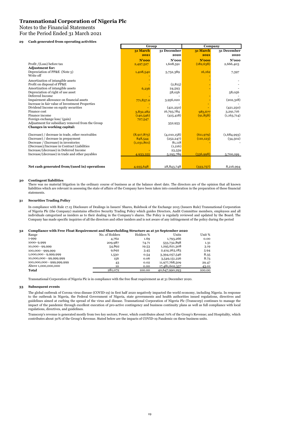Notes to the Financial Statements

For the Period Ended 31 March 2021

### **29 Cash generated from operating activities**

|                                                      | Group<br>Company        |                          |                      |                         |
|------------------------------------------------------|-------------------------|--------------------------|----------------------|-------------------------|
|                                                      | 31 March                | 31 December              | 31 March             | 31 December             |
|                                                      | 2021                    | 2020                     | 2021                 | 2020                    |
|                                                      | $N'$ 000                | $N'$ 000                 | $N'$ 000             | $N'$ 000                |
| Profit /(Loss) before tax                            | 2,497,527               | 1,608,591                | (182, 638)           | 2,666,403               |
| <b>Adjustment for:</b>                               |                         |                          |                      |                         |
| Depreciation of PP&E (Note 5)<br>Write off           | 1,408,540               | 5,752,389                | 16,162               | 7,397                   |
| Amortization of intangible assets                    |                         |                          |                      |                         |
| Profit on disposal of PP&E                           |                         | (2,815)                  |                      |                         |
| Amortization of intangible assets                    | 6,236                   | 24,593                   |                      |                         |
| Depreciation of right of use asset                   |                         | 58,056                   |                      | 58,056                  |
| Deferred Income                                      |                         |                          |                      |                         |
| Impairment allowance on financial assets             | 771,837.0               | 3,956,020                |                      | (202, 318)              |
| Increase in fair value of Investment Properties      |                         |                          |                      |                         |
| Dividend Income on equity securities<br>Finance cost |                         | (421, 250)<br>16,793,784 |                      | (421, 250)<br>3,291,716 |
| Finance income                                       | 3,832,282<br>(140, 546) | (415, 418)               | 983,677<br>(91, 858) | (1,163,714)             |
| Foreign exchange loss/ (gain)                        | 727,547                 |                          |                      |                         |
| Adjuatment for subsidiary removed from the Group     |                         | 352,953                  |                      |                         |
| Changes in working capital:                          |                         |                          |                      |                         |
| (Increase) / decrease in trade, other receivables    | (8,917,873)             | (4,010,158)              | (611, 979)           | (1,684,993)             |
| (Increase) / decrease in prepayment                  | 848,544                 | (252, 247)               | (110, 123)           | (34,502)                |
| Decrease / (Increase) in inventories                 | (1,031,801)             | 81,118                   |                      |                         |
| (Decrease)/Increase in Contract Liabilities          |                         | (1,216)                  |                      |                         |
| Increase/(decrease) in Deferred Income               |                         | 23,559                   |                      |                         |
| Increase/(decrease) in trade and other payables      | 4,933,355               | 5,295,789                | (336,998)            | 5,700,199               |
|                                                      |                         |                          |                      |                         |
| Net cash generated from/(used in) operations         | 4,935,648               | 28,843,748               | (333,757)            | 8,216,994               |

#### **30 Contingent liabilities**

There was no material litigation in the ordinary course of business as at the balance sheet date. The directors are of the opinion that all known liabilities which are relevant in assessing the state of affairs of the Company have been taken into consideration in the preparation of these financial statements.

### **31 Securities Trading Policy**

In compliance with Rule 17.15 Disclosure of Dealings in Issuers' Shares, Rulebook of the Exchange 2015 (Issuers Rule) Transnational Corporation of Nigeria Plc (the Company) maintains effective Security Trading Policy which guides Directors, Audit Committee members, employees and all individuals categorized as insiders as to their dealing in the Company's shares. The Policy is regularly reviewed and updated by the Board. The Company has made specific inquiries of all the directors and other insiders and is not aware of any infringement of the policy during the period

#### **32 Compliance with Free Float Requirement and Shareholding Structure as at 30 September 2020**

| Comphance with FFee Float Requirement and shareholding su ucture as at 30 september 2020 |                           |                |           |                |        |
|------------------------------------------------------------------------------------------|---------------------------|----------------|-----------|----------------|--------|
|                                                                                          | Range                     | No. of Holders | Holders % | Units          | Unit % |
|                                                                                          | 1-999                     | 4,762          | 1.69      | 1,793,266      | 0.00   |
|                                                                                          | $1000 - 9,999$            | 209,987        | 74.71     | 533,732,898    | 1.31   |
|                                                                                          | $10,000 - 99,999$         | 54,892         | 19.53     | 1,295,621,308  | 3.19   |
|                                                                                          | 100,000 - 999,999         | 9,692          | 3.45      | 2,414,263,183  | 5.94   |
|                                                                                          | 1,000,000 - 9,999,999     | 1,530          | 0.54      | 3,394,057,546  | 8.35   |
|                                                                                          | 10,000,000 - 99,999,999   | 156            | 0.06      | 3,549,151,226  | 8.73   |
|                                                                                          | 100,000,000 - 999,999,999 | 43             | 0.02      | 11,977,768,509 | 29.47  |
|                                                                                          | Above 1,000,000,000       | 10             | 0.00      | 17,481,602,357 | 43.01  |
|                                                                                          | Total                     | 281,072        | 100.00    | 40,647,990,293 | 100.00 |

Transnational Corporation of Nigeria Plc is in compliance with the free float requirement as at 31 December 2020.

#### **33 Subsequent events**

The global outbreak of Corona virus disease (COVID-19) in first half 2020 negatively impacted the world economy, including Nigeria. In response to the outbreak in Nigeria, the Federal Government of Nigeria, state governments and health authorities issued regulations, directives and guidelines aimed at curbing the spread of the virus and disease. Transnational Corporation of Nigeria Plc (Transcorp) continues to manage the impact of the pandemic through excellent execution of pro-active contingency and business continuity plans as well as full compliance with local regulations, directives, and guidelines.

Transcorp's revenue is generated mostly from two key sectors; Power, which contributes about 70% of the Group's Revenue; and Hospitality, which contributes about 30% of the Group's Revenue. Stated below are the impacts of COVID-19 Pandemic on these business units.